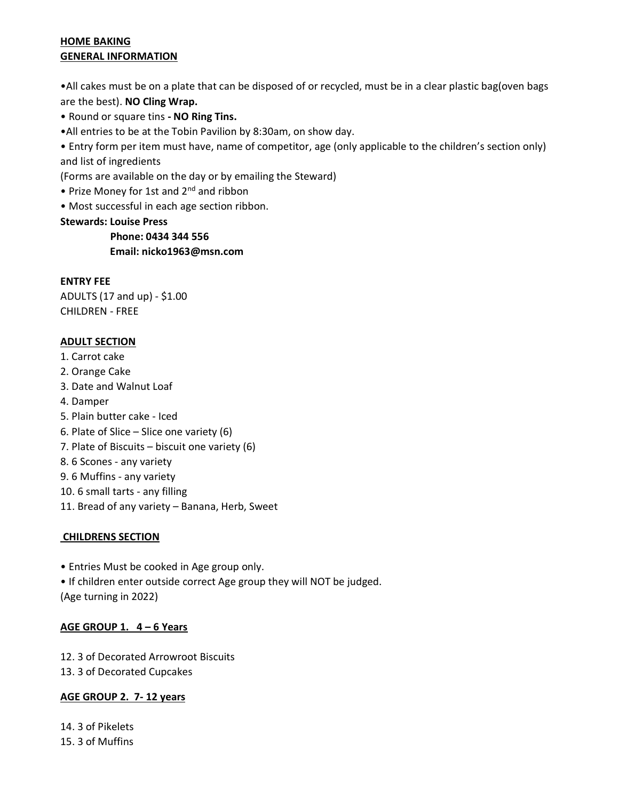#### HOME BAKING GENERAL INFORMATION

•All cakes must be on a plate that can be disposed of or recycled, must be in a clear plastic bag(oven bags are the best). NO Cling Wrap.

• Round or square tins - NO Ring Tins.

•All entries to be at the Tobin Pavilion by 8:30am, on show day.

• Entry form per item must have, name of competitor, age (only applicable to the children's section only) and list of ingredients

(Forms are available on the day or by emailing the Steward)

- Prize Money for 1st and 2<sup>nd</sup> and ribbon
- Most successful in each age section ribbon.

#### Stewards: Louise Press

 Phone: 0434 344 556 Email: nicko1963@msn.com

#### ENTRY FEE

ADULTS (17 and up) - \$1.00 CHILDREN - FREE

# ADULT SECTION

- 1. Carrot cake
- 2. Orange Cake
- 3. Date and Walnut Loaf
- 4. Damper
- 5. Plain butter cake Iced
- 6. Plate of Slice Slice one variety (6)
- 7. Plate of Biscuits biscuit one variety (6)
- 8. 6 Scones any variety
- 9. 6 Muffins any variety
- 10. 6 small tarts any filling
- 11. Bread of any variety Banana, Herb, Sweet

# CHILDRENS SECTION

• Entries Must be cooked in Age group only.

• If children enter outside correct Age group they will NOT be judged. (Age turning in 2022)

#### AGE GROUP 1. 4 – 6 Years

12. 3 of Decorated Arrowroot Biscuits

13. 3 of Decorated Cupcakes

# AGE GROUP 2. 7- 12 years

14. 3 of Pikelets 15. 3 of Muffins